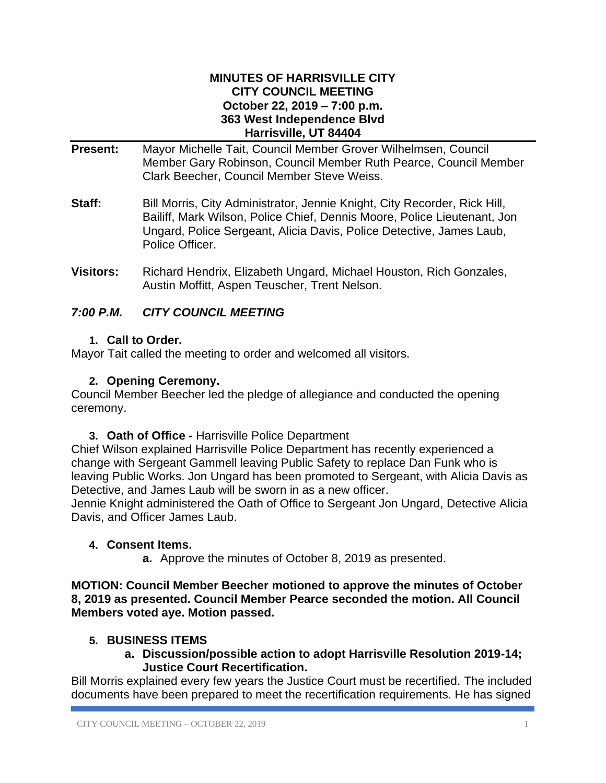#### **MINUTES OF HARRISVILLE CITY CITY COUNCIL MEETING October 22, 2019 – 7:00 p.m. 363 West Independence Blvd Harrisville, UT 84404**

- **Present:** Mayor Michelle Tait, Council Member Grover Wilhelmsen, Council Member Gary Robinson, Council Member Ruth Pearce, Council Member Clark Beecher, Council Member Steve Weiss.
- **Staff:** Bill Morris, City Administrator, Jennie Knight, City Recorder, Rick Hill, Bailiff, Mark Wilson, Police Chief, Dennis Moore, Police Lieutenant, Jon Ungard, Police Sergeant, Alicia Davis, Police Detective, James Laub, Police Officer.
- **Visitors:** Richard Hendrix, Elizabeth Ungard, Michael Houston, Rich Gonzales, Austin Moffitt, Aspen Teuscher, Trent Nelson.

# *7:00 P.M. CITY COUNCIL MEETING*

## **1. Call to Order.**

Mayor Tait called the meeting to order and welcomed all visitors.

### **2. Opening Ceremony.**

Council Member Beecher led the pledge of allegiance and conducted the opening ceremony.

**3. Oath of Office -** Harrisville Police Department

Chief Wilson explained Harrisville Police Department has recently experienced a change with Sergeant Gammell leaving Public Safety to replace Dan Funk who is leaving Public Works. Jon Ungard has been promoted to Sergeant, with Alicia Davis as Detective, and James Laub will be sworn in as a new officer.

Jennie Knight administered the Oath of Office to Sergeant Jon Ungard, Detective Alicia Davis, and Officer James Laub.

#### **4. Consent Items.**

**a.** Approve the minutes of October 8, 2019 as presented.

**MOTION: Council Member Beecher motioned to approve the minutes of October 8, 2019 as presented. Council Member Pearce seconded the motion. All Council Members voted aye. Motion passed.**

## **5. BUSINESS ITEMS**

**a. Discussion/possible action to adopt Harrisville Resolution 2019-14; Justice Court Recertification.**

Bill Morris explained every few years the Justice Court must be recertified. The included documents have been prepared to meet the recertification requirements. He has signed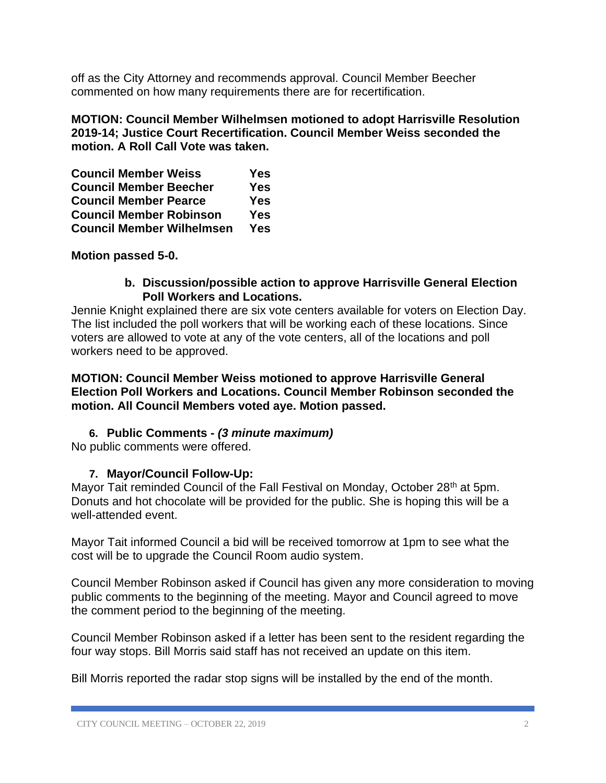off as the City Attorney and recommends approval. Council Member Beecher commented on how many requirements there are for recertification.

**MOTION: Council Member Wilhelmsen motioned to adopt Harrisville Resolution 2019-14; Justice Court Recertification. Council Member Weiss seconded the motion. A Roll Call Vote was taken.**

| <b>Council Member Weiss</b>      | Yes        |
|----------------------------------|------------|
| <b>Council Member Beecher</b>    | <b>Yes</b> |
| <b>Council Member Pearce</b>     | <b>Yes</b> |
| <b>Council Member Robinson</b>   | <b>Yes</b> |
| <b>Council Member Wilhelmsen</b> | <b>Yes</b> |

**Motion passed 5-0.**

#### **b. Discussion/possible action to approve Harrisville General Election Poll Workers and Locations.**

Jennie Knight explained there are six vote centers available for voters on Election Day. The list included the poll workers that will be working each of these locations. Since voters are allowed to vote at any of the vote centers, all of the locations and poll workers need to be approved.

**MOTION: Council Member Weiss motioned to approve Harrisville General Election Poll Workers and Locations. Council Member Robinson seconded the motion. All Council Members voted aye. Motion passed.**

#### **6. Public Comments -** *(3 minute maximum)*

No public comments were offered.

#### **7. Mayor/Council Follow-Up:**

Mayor Tait reminded Council of the Fall Festival on Monday, October 28<sup>th</sup> at 5pm. Donuts and hot chocolate will be provided for the public. She is hoping this will be a well-attended event.

Mayor Tait informed Council a bid will be received tomorrow at 1pm to see what the cost will be to upgrade the Council Room audio system.

Council Member Robinson asked if Council has given any more consideration to moving public comments to the beginning of the meeting. Mayor and Council agreed to move the comment period to the beginning of the meeting.

Council Member Robinson asked if a letter has been sent to the resident regarding the four way stops. Bill Morris said staff has not received an update on this item.

Bill Morris reported the radar stop signs will be installed by the end of the month.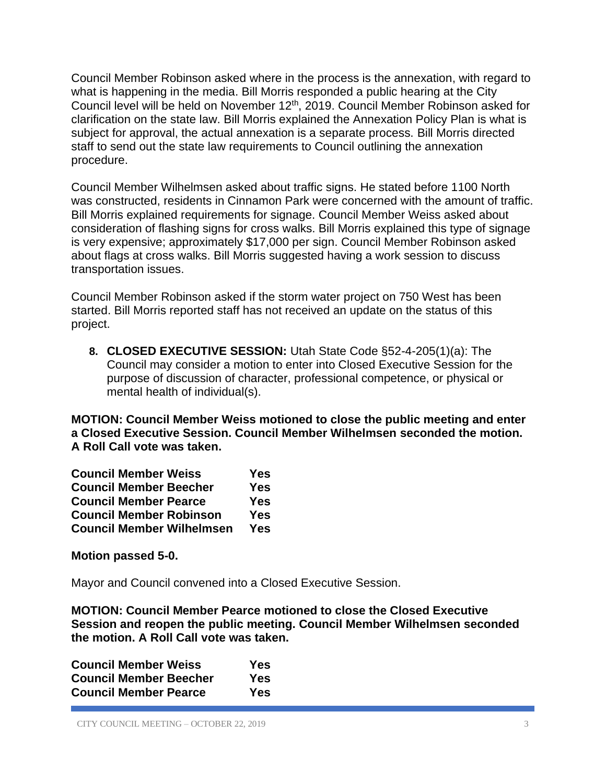Council Member Robinson asked where in the process is the annexation, with regard to what is happening in the media. Bill Morris responded a public hearing at the City Council level will be held on November 12th, 2019. Council Member Robinson asked for clarification on the state law. Bill Morris explained the Annexation Policy Plan is what is subject for approval, the actual annexation is a separate process. Bill Morris directed staff to send out the state law requirements to Council outlining the annexation procedure.

Council Member Wilhelmsen asked about traffic signs. He stated before 1100 North was constructed, residents in Cinnamon Park were concerned with the amount of traffic. Bill Morris explained requirements for signage. Council Member Weiss asked about consideration of flashing signs for cross walks. Bill Morris explained this type of signage is very expensive; approximately \$17,000 per sign. Council Member Robinson asked about flags at cross walks. Bill Morris suggested having a work session to discuss transportation issues.

Council Member Robinson asked if the storm water project on 750 West has been started. Bill Morris reported staff has not received an update on the status of this project.

**8. CLOSED EXECUTIVE SESSION:** Utah State Code §52-4-205(1)(a): The Council may consider a motion to enter into Closed Executive Session for the purpose of discussion of character, professional competence, or physical or mental health of individual(s).

**MOTION: Council Member Weiss motioned to close the public meeting and enter a Closed Executive Session. Council Member Wilhelmsen seconded the motion. A Roll Call vote was taken.**

| <b>Council Member Weiss</b>      | Yes        |
|----------------------------------|------------|
| <b>Council Member Beecher</b>    | Yes        |
| <b>Council Member Pearce</b>     | <b>Yes</b> |
| <b>Council Member Robinson</b>   | <b>Yes</b> |
| <b>Council Member Wilhelmsen</b> | <b>Yes</b> |

**Motion passed 5-0.**

Mayor and Council convened into a Closed Executive Session.

**MOTION: Council Member Pearce motioned to close the Closed Executive Session and reopen the public meeting. Council Member Wilhelmsen seconded the motion. A Roll Call vote was taken.**

| <b>Council Member Weiss</b>   | Yes |
|-------------------------------|-----|
| <b>Council Member Beecher</b> | Yes |
| <b>Council Member Pearce</b>  | Yes |